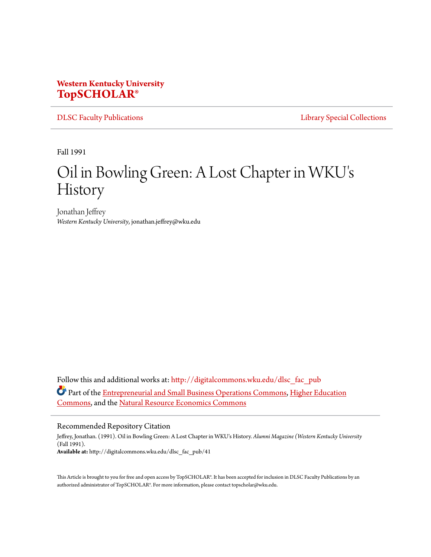## **Western Kentucky University [TopSCHOLAR®](http://digitalcommons.wku.edu?utm_source=digitalcommons.wku.edu%2Fdlsc_fac_pub%2F41&utm_medium=PDF&utm_campaign=PDFCoverPages)**

[DLSC Faculty Publications](http://digitalcommons.wku.edu/dlsc_fac_pub?utm_source=digitalcommons.wku.edu%2Fdlsc_fac_pub%2F41&utm_medium=PDF&utm_campaign=PDFCoverPages) [Library Special Collections](http://digitalcommons.wku.edu/dlsc?utm_source=digitalcommons.wku.edu%2Fdlsc_fac_pub%2F41&utm_medium=PDF&utm_campaign=PDFCoverPages)

Fall 1991

# Oil in Bowling Green: A Lost Chapter in WKU' s History

Jonathan Jeffrey *Western Kentucky University*, jonathan.jeffrey@wku.edu

Follow this and additional works at: [http://digitalcommons.wku.edu/dlsc\\_fac\\_pub](http://digitalcommons.wku.edu/dlsc_fac_pub?utm_source=digitalcommons.wku.edu%2Fdlsc_fac_pub%2F41&utm_medium=PDF&utm_campaign=PDFCoverPages) Part of the [Entrepreneurial and Small Business Operations Commons](http://network.bepress.com/hgg/discipline/630?utm_source=digitalcommons.wku.edu%2Fdlsc_fac_pub%2F41&utm_medium=PDF&utm_campaign=PDFCoverPages), [Higher Education](http://network.bepress.com/hgg/discipline/1245?utm_source=digitalcommons.wku.edu%2Fdlsc_fac_pub%2F41&utm_medium=PDF&utm_campaign=PDFCoverPages) [Commons,](http://network.bepress.com/hgg/discipline/1245?utm_source=digitalcommons.wku.edu%2Fdlsc_fac_pub%2F41&utm_medium=PDF&utm_campaign=PDFCoverPages) and the [Natural Resource Economics Commons](http://network.bepress.com/hgg/discipline/169?utm_source=digitalcommons.wku.edu%2Fdlsc_fac_pub%2F41&utm_medium=PDF&utm_campaign=PDFCoverPages)

#### Recommended Repository Citation

Jeffrey, Jonathan. (1991). Oil in Bowling Green: A Lost Chapter in WKU's History. *Alumni Magazine (Western Kentucky University* (Fall 1991). **Available at:** http://digitalcommons.wku.edu/dlsc\_fac\_pub/41

This Article is brought to you for free and open access by TopSCHOLAR®. It has been accepted for inclusion in DLSC Faculty Publications by an authorized administrator of TopSCHOLAR®. For more information, please contact topscholar@wku.edu.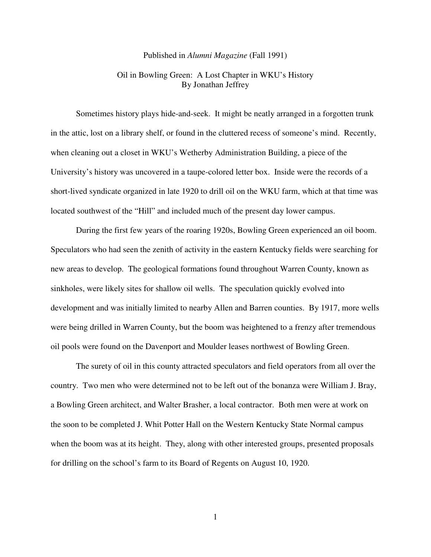#### Published in *Alumni Magazine* (Fall 1991)

### Oil in Bowling Green: A Lost Chapter in WKU's History By Jonathan Jeffrey

 Sometimes history plays hide-and-seek. It might be neatly arranged in a forgotten trunk in the attic, lost on a library shelf, or found in the cluttered recess of someone's mind. Recently, when cleaning out a closet in WKU's Wetherby Administration Building, a piece of the University's history was uncovered in a taupe-colored letter box. Inside were the records of a short-lived syndicate organized in late 1920 to drill oil on the WKU farm, which at that time was located southwest of the "Hill" and included much of the present day lower campus.

 During the first few years of the roaring 1920s, Bowling Green experienced an oil boom. Speculators who had seen the zenith of activity in the eastern Kentucky fields were searching for new areas to develop. The geological formations found throughout Warren County, known as sinkholes, were likely sites for shallow oil wells. The speculation quickly evolved into development and was initially limited to nearby Allen and Barren counties. By 1917, more wells were being drilled in Warren County, but the boom was heightened to a frenzy after tremendous oil pools were found on the Davenport and Moulder leases northwest of Bowling Green.

 The surety of oil in this county attracted speculators and field operators from all over the country. Two men who were determined not to be left out of the bonanza were William J. Bray, a Bowling Green architect, and Walter Brasher, a local contractor. Both men were at work on the soon to be completed J. Whit Potter Hall on the Western Kentucky State Normal campus when the boom was at its height. They, along with other interested groups, presented proposals for drilling on the school's farm to its Board of Regents on August 10, 1920.

1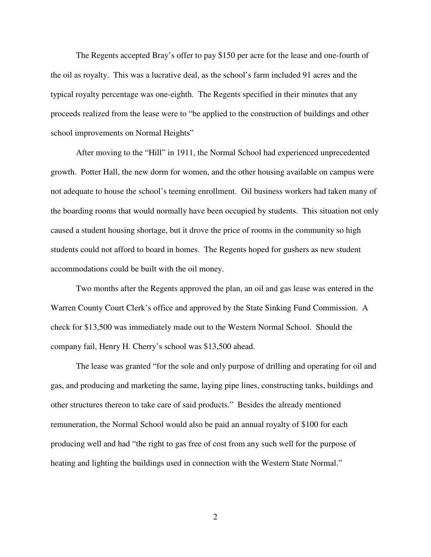The Regents accepted Bray's offer to pay \$150 per acre for the lease and one-fourth of the oil as royalty. This was a lucrative deal, as the school's farm included 91 acres and the typical royalty percentage was one-eighth. The Regents specified in their minutes that any proceeds realized from the lease were to "be applied to the construction of buildings and other school improvements on Normal Heights"

After moving to the "Hill" in 1911, the Normal School had experienced unprecedented growth. Potter Hall, the new dorm for women, and the other housing available on campus were not adequate to house the school's teeming enrollment. Oil business workers had taken many of the boarding rooms that would normally have been occupied by students. This situation not only caused a student housing shortage, but it drove the price of rooms in the community so high students could not afford to board in homes. The Regents hoped for gushers as new student accommodations could be built with the oil money.

 Two months after the Regents approved the plan, an oil and gas lease was entered in the Warren County Court Clerk's office and approved by the State Sinking Fund Commission. A check for \$13,500 was immediately made out to the Western Normal School. Should the company fail, Henry H. Cherry's school was \$13,500 ahead.

 The lease was granted "for the sole and only purpose of drilling and operating for oil and gas, and producing and marketing the same, laying pipe lines, constructing tanks, buildings and other structures thereon to take care of said products." Besides the already mentioned remuneration, the Normal School would also be paid an annual royalty of \$100 for each producing well and had "the right to gas free of cost from any such well for the purpose of heating and lighting the buildings used in connection with the Western State Normal."

2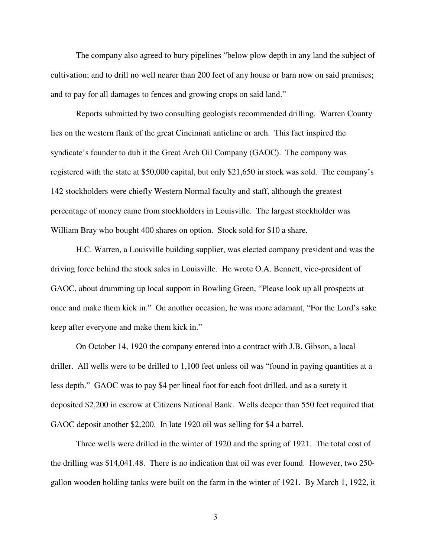The company also agreed to bury pipelines "below plow depth in any land the subject of cultivation; and to drill no well nearer than 200 feet of any house or barn now on said premises; and to pay for all damages to fences and growing crops on said land."

 Reports submitted by two consulting geologists recommended drilling. Warren County lies on the western flank of the great Cincinnati anticline or arch. This fact inspired the syndicate's founder to dub it the Great Arch Oil Company (GAOC). The company was registered with the state at \$50,000 capital, but only \$21,650 in stock was sold. The company's 142 stockholders were chiefly Western Normal faculty and staff, although the greatest percentage of money came from stockholders in Louisville. The largest stockholder was William Bray who bought 400 shares on option. Stock sold for \$10 a share.

 H.C. Warren, a Louisville building supplier, was elected company president and was the driving force behind the stock sales in Louisville. He wrote O.A. Bennett, vice-president of GAOC, about drumming up local support in Bowling Green, "Please look up all prospects at once and make them kick in." On another occasion, he was more adamant, "For the Lord's sake keep after everyone and make them kick in."

On October 14, 1920 the company entered into a contract with J.B. Gibson, a local driller. All wells were to be drilled to 1,100 feet unless oil was "found in paying quantities at a less depth." GAOC was to pay \$4 per lineal foot for each foot drilled, and as a surety it deposited \$2,200 in escrow at Citizens National Bank. Wells deeper than 550 feet required that GAOC deposit another \$2,200. In late 1920 oil was selling for \$4 a barrel.

Three wells were drilled in the winter of 1920 and the spring of 1921. The total cost of the drilling was \$14,041.48. There is no indication that oil was ever found. However, two 250 gallon wooden holding tanks were built on the farm in the winter of 1921. By March 1, 1922, it